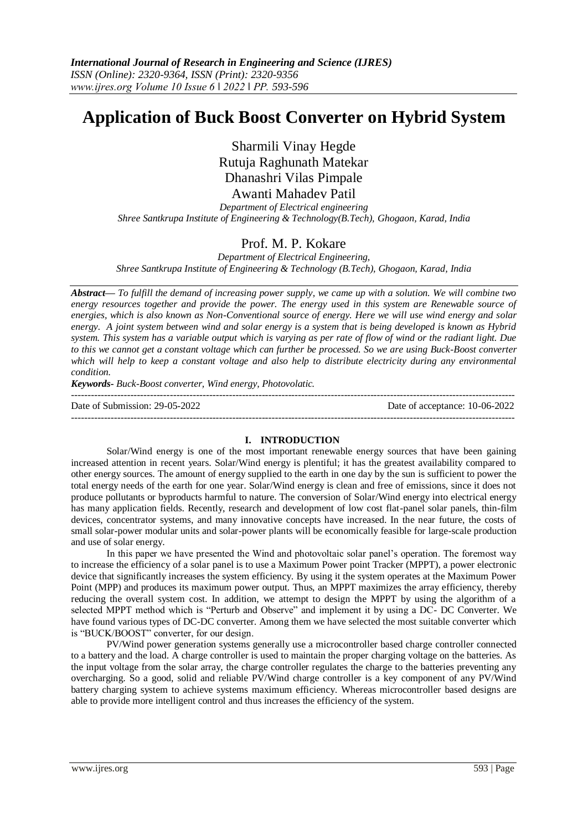# **Application of Buck Boost Converter on Hybrid System**

Sharmili Vinay Hegde Rutuja Raghunath Matekar Dhanashri Vilas Pimpale Awanti Mahadev Patil

*Department of Electrical engineering Shree Santkrupa Institute of Engineering & Technology(B.Tech), Ghogaon, Karad, India*

# Prof. M. P. Kokare

*Department of Electrical Engineering, Shree Santkrupa Institute of Engineering & Technology (B.Tech), Ghogaon, Karad, India*

*Abstract— To fulfill the demand of increasing power supply, we came up with a solution. We will combine two energy resources together and provide the power. The energy used in this system are Renewable source of energies, which is also known as Non-Conventional source of energy. Here we will use wind energy and solar energy. A joint system between wind and solar energy is a system that is being developed is known as Hybrid system. This system has a variable output which is varying as per rate of flow of wind or the radiant light. Due to this we cannot get a constant voltage which can further be processed. So we are using Buck-Boost converter which will help to keep a constant voltage and also help to distribute electricity during any environmental condition.* 

*Keywords- Buck-Boost converter, Wind energy, Photovolatic.*

---------------------------------------------------------------------------------------------------------------------------------------

---------------------------------------------------------------------------------------------------------------------------------------

Date of Submission: 29-05-2022 Date of acceptance: 10-06-2022

#### **I. INTRODUCTION**

Solar/Wind energy is one of the most important renewable energy sources that have been gaining increased attention in recent years. Solar/Wind energy is plentiful; it has the greatest availability compared to other energy sources. The amount of energy supplied to the earth in one day by the sun is sufficient to power the total energy needs of the earth for one year. Solar/Wind energy is clean and free of emissions, since it does not produce pollutants or byproducts harmful to nature. The conversion of Solar/Wind energy into electrical energy has many application fields. Recently, research and development of low cost flat-panel solar panels, thin-film devices, concentrator systems, and many innovative concepts have increased. In the near future, the costs of small solar-power modular units and solar-power plants will be economically feasible for large-scale production and use of solar energy.

In this paper we have presented the Wind and photovoltaic solar panel's operation. The foremost way to increase the efficiency of a solar panel is to use a Maximum Power point Tracker (MPPT), a power electronic device that significantly increases the system efficiency. By using it the system operates at the Maximum Power Point (MPP) and produces its maximum power output. Thus, an MPPT maximizes the array efficiency, thereby reducing the overall system cost. In addition, we attempt to design the MPPT by using the algorithm of a selected MPPT method which is "Perturb and Observe" and implement it by using a DC- DC Converter. We have found various types of DC-DC converter. Among them we have selected the most suitable converter which is "BUCK/BOOST" converter, for our design.

PV/Wind power generation systems generally use a microcontroller based charge controller connected to a battery and the load. A charge controller is used to maintain the proper charging voltage on the batteries. As the input voltage from the solar array, the charge controller regulates the charge to the batteries preventing any overcharging. So a good, solid and reliable PV/Wind charge controller is a key component of any PV/Wind battery charging system to achieve systems maximum efficiency. Whereas microcontroller based designs are able to provide more intelligent control and thus increases the efficiency of the system.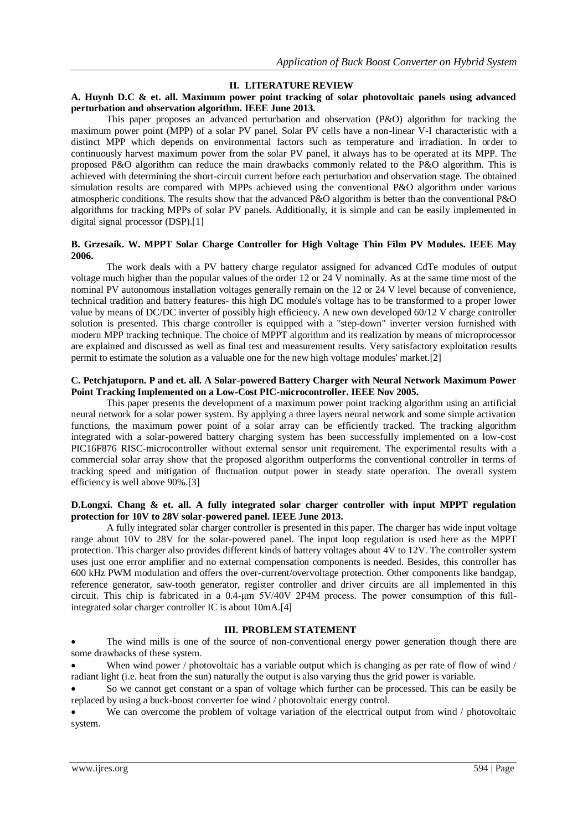### **II. LITERATURE REVIEW**

### **A. Huynh D.C & et. all. Maximum power point tracking of solar photovoltaic panels using advanced perturbation and observation algorithm. IEEE June 2013.**

This paper proposes an advanced perturbation and observation (P&O) algorithm for tracking the maximum power point (MPP) of a solar PV panel. Solar PV cells have a non-linear V-I characteristic with a distinct MPP which depends on environmental factors such as temperature and irradiation. In order to continuously harvest maximum power from the solar PV panel, it always has to be operated at its MPP. The proposed P&O algorithm can reduce the main drawbacks commonly related to the P&O algorithm. This is achieved with determining the short-circuit current before each perturbation and observation stage. The obtained simulation results are compared with MPPs achieved using the conventional P&O algorithm under various atmospheric conditions. The results show that the advanced P&O algorithm is better than the conventional P&O algorithms for tracking MPPs of solar PV panels. Additionally, it is simple and can be easily implemented in digital signal processor (DSP).[1]

### **B. Grzesaik. W. MPPT Solar Charge Controller for High Voltage Thin Film PV Modules. IEEE May 2006.**

The work deals with a PV battery charge regulator assigned for advanced CdTe modules of output voltage much higher than the popular values of the order 12 or 24 V nominally. As at the same time most of the nominal PV autonomous installation voltages generally remain on the 12 or 24 V level because of convenience, technical tradition and battery features- this high DC module's voltage has to be transformed to a proper lower value by means of DC/DC inverter of possibly high efficiency. A new own developed 60/12 V charge controller solution is presented. This charge controller is equipped with a "step-down" inverter version furnished with modern MPP tracking technique. The choice of MPPT algorithm and its realization by means of microprocessor are explained and discussed as well as final test and measurement results. Very satisfactory exploitation results permit to estimate the solution as a valuable one for the new high voltage modules' market.[2]

#### **C. Petchjatuporn. P and et. all. A Solar-powered Battery Charger with Neural Network Maximum Power Point Tracking Implemented on a Low-Cost PIC-microcontroller. IEEE Nov 2005.**

This paper presents the development of a maximum power point tracking algorithm using an artificial neural network for a solar power system. By applying a three layers neural network and some simple activation functions, the maximum power point of a solar array can be efficiently tracked. The tracking algorithm integrated with a solar-powered battery charging system has been successfully implemented on a low-cost PIC16F876 RISC-microcontroller without external sensor unit requirement. The experimental results with a commercial solar array show that the proposed algorithm outperforms the conventional controller in terms of tracking speed and mitigation of fluctuation output power in steady state operation. The overall system efficiency is well above 90%.[3]

### **D.Longxi. Chang & et. all. A fully integrated solar charger controller with input MPPT regulation protection for 10V to 28V solar-powered panel. IEEE June 2013.**

A fully integrated solar charger controller is presented in this paper. The charger has wide input voltage range about 10V to 28V for the solar-powered panel. The input loop regulation is used here as the MPPT protection. This charger also provides different kinds of battery voltages about 4V to 12V. The controller system uses just one error amplifier and no external compensation components is needed. Besides, this controller has 600 kHz PWM modulation and offers the over-current/overvoltage protection. Other components like bandgap, reference generator, saw-tooth generator, register controller and driver circuits are all implemented in this circuit. This chip is fabricated in a 0.4-μm 5V/40V 2P4M process. The power consumption of this fullintegrated solar charger controller IC is about 10mA.[4]

#### **III. PROBLEM STATEMENT**

 The wind mills is one of the source of non-conventional energy power generation though there are some drawbacks of these system.

When wind power / photovoltaic has a variable output which is changing as per rate of flow of wind / radiant light (i.e. heat from the sun) naturally the output is also varying thus the grid power is variable.

 So we cannot get constant or a span of voltage which further can be processed. This can be easily be replaced by using a buck-boost converter foe wind / photovoltaic energy control.

We can overcome the problem of voltage variation of the electrical output from wind / photovoltaic system.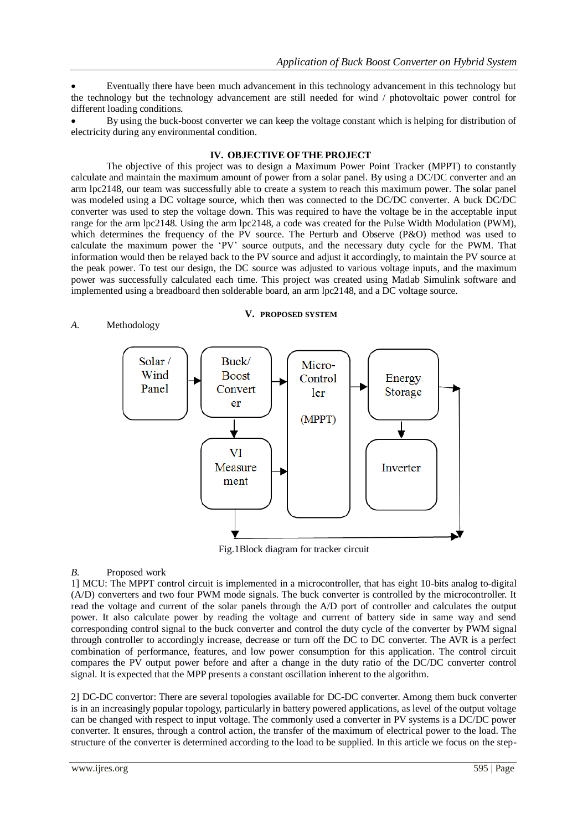Eventually there have been much advancement in this technology advancement in this technology but the technology but the technology advancement are still needed for wind / photovoltaic power control for different loading conditions.

 By using the buck-boost converter we can keep the voltage constant which is helping for distribution of electricity during any environmental condition.

## **IV. OBJECTIVE OF THE PROJECT**

The objective of this project was to design a Maximum Power Point Tracker (MPPT) to constantly calculate and maintain the maximum amount of power from a solar panel. By using a DC/DC converter and an arm lpc2148, our team was successfully able to create a system to reach this maximum power. The solar panel was modeled using a DC voltage source, which then was connected to the DC/DC converter. A buck DC/DC converter was used to step the voltage down. This was required to have the voltage be in the acceptable input range for the arm lpc2148. Using the arm lpc2148, a code was created for the Pulse Width Modulation (PWM), which determines the frequency of the PV source. The Perturb and Observe (P&O) method was used to calculate the maximum power the 'PV' source outputs, and the necessary duty cycle for the PWM. That information would then be relayed back to the PV source and adjust it accordingly, to maintain the PV source at the peak power. To test our design, the DC source was adjusted to various voltage inputs, and the maximum power was successfully calculated each time. This project was created using Matlab Simulink software and implemented using a breadboard then solderable board, an arm lpc2148, and a DC voltage source.

#### *A.* Methodology

**V. PROPOSED SYSTEM**



Fig.1Block diagram for tracker circuit

#### *B.* Proposed work

1] MCU: The MPPT control circuit is implemented in a microcontroller, that has eight 10-bits analog to-digital (A/D) converters and two four PWM mode signals. The buck converter is controlled by the microcontroller. It read the voltage and current of the solar panels through the A/D port of controller and calculates the output power. It also calculate power by reading the voltage and current of battery side in same way and send corresponding control signal to the buck converter and control the duty cycle of the converter by PWM signal through controller to accordingly increase, decrease or turn off the DC to DC converter. The AVR is a perfect combination of performance, features, and low power consumption for this application. The control circuit compares the PV output power before and after a change in the duty ratio of the DC/DC converter control signal. It is expected that the MPP presents a constant oscillation inherent to the algorithm.

2] DC-DC convertor: There are several topologies available for DC-DC converter. Among them buck converter is in an increasingly popular topology, particularly in battery powered applications, as level of the output voltage can be changed with respect to input voltage. The commonly used a converter in PV systems is a DC/DC power converter. It ensures, through a control action, the transfer of the maximum of electrical power to the load. The structure of the converter is determined according to the load to be supplied. In this article we focus on the step